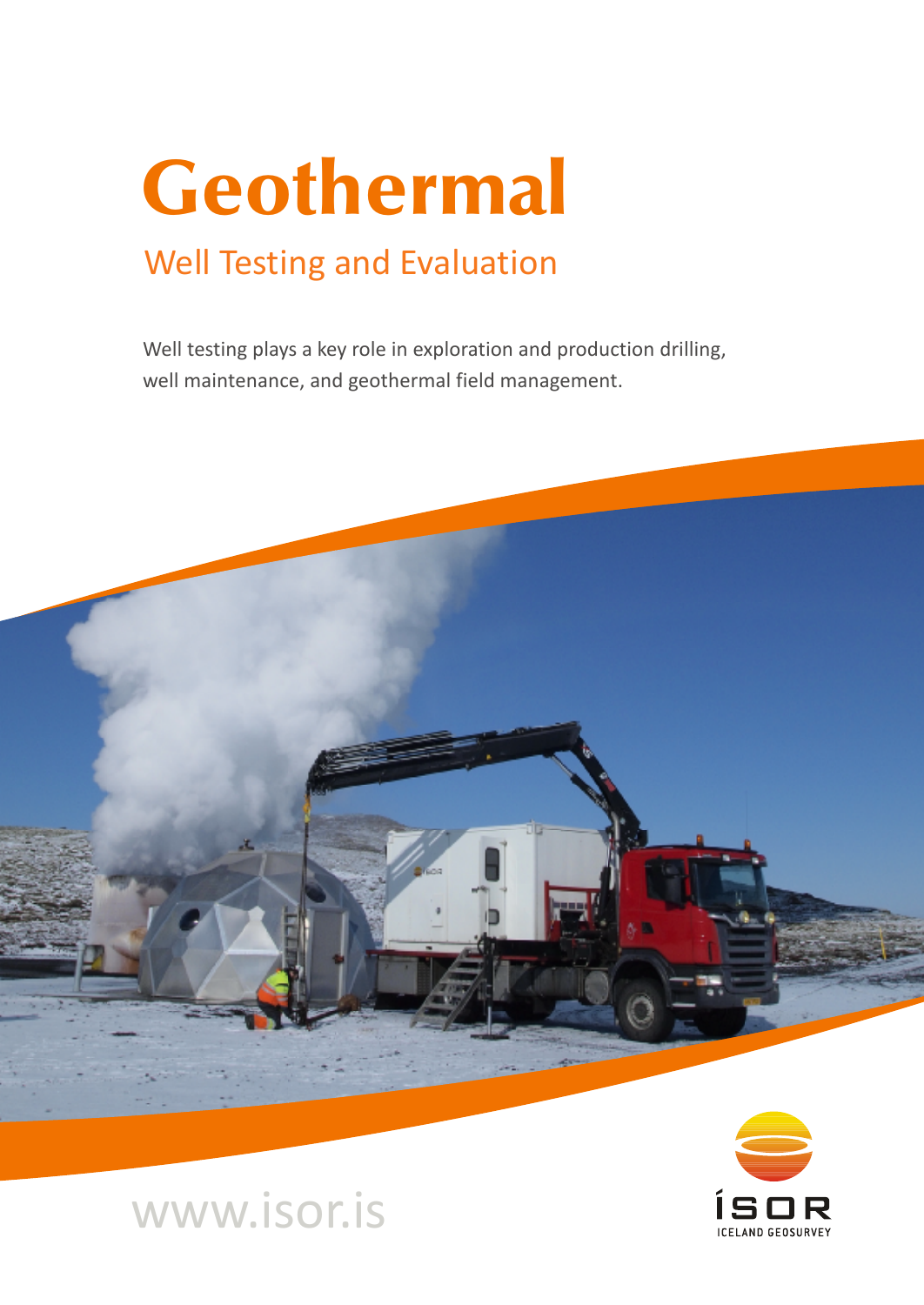# Geothermal

## Well Testing and Evaluation

Well testing plays a key role in exploration and production drilling, well maintenance, and geothermal field management.